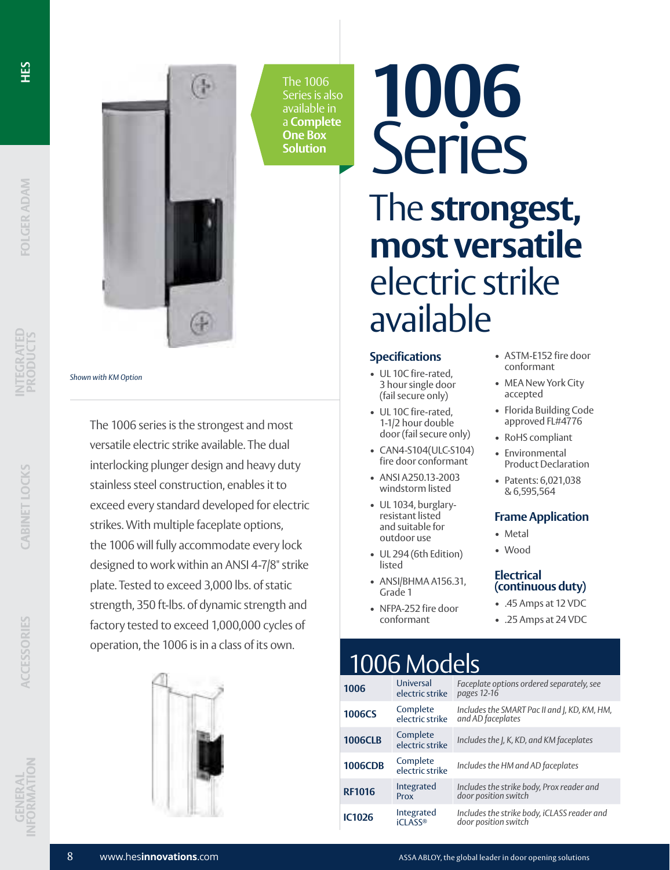

**INTEGRATED PRODUCTS**

*Shown with KM Option*





The 1006 Series is also available in a **Complete One Box Solution**

# **1006** Series The **strongest, most versatile** electric strike available

#### **Specifications**

- UL 10C fire-rated, 3 hour single door (fail secure only)
- UL 10C fire-rated, 1-1/2 hour double door (fail secure only)
- CAN4-S104(ULC-S104) fire door conformant
- ANSI A250.13-2003 windstorm listed
- UL 1034, burglaryresistant listed and suitable for outdoor use
- UL 294 (6th Edition) listed
- ANSI/BHMA A156.31, Grade 1
- NFPA-252 fire door conformant
- ASTM-E152 fire door conformant
- MEA New York City accepted
- Florida Building Code approved FL#4776
- RoHS compliant
- Environmental Product Declaration
- Patents: 6,021,038 & 6,595,564

#### **Frame Application**

- Metal
- Wood

#### **Electrical (continuous duty)**

- .45 Amps at 12 VDC
- .25 Amps at 24 VDC

## 1006 Models

| 1006           | Universal<br>electric strike | Faceplate options ordered separately, see<br>pages 12-16            |
|----------------|------------------------------|---------------------------------------------------------------------|
| <b>1006CS</b>  | Complete<br>electric strike  | Includes the SMART Pac II and J, KD, KM, HM,<br>and AD faceplates   |
| <b>1006CLB</b> | Complete<br>electric strike  | Includes the J, K, KD, and KM faceplates                            |
| <b>1006CDB</b> | Complete<br>electric strike  | Includes the HM and AD faceplates                                   |
| <b>RF1016</b>  | Integrated<br>Prox           | Includes the strike body, Prox reader and<br>door position switch   |
| <b>IC1026</b>  | Integrated<br><b>iCLASS®</b> | Includes the strike body, iCLASS reader and<br>door position switch |



The 1006 series is the strongest and most versatile electric strike available. The dual interlocking plunger design and heavy duty stainless steel construction, enables it to

exceed every standard developed for electric

the 1006 will fully accommodate every lock designed to work within an ANSI 4-7/8" strike plate. Tested to exceed 3,000 lbs. of static strength, 350 ft-lbs. of dynamic strength and factory tested to exceed 1,000,000 cycles of operation, the 1006 is in a class of its own.

strikes. With multiple faceplate options,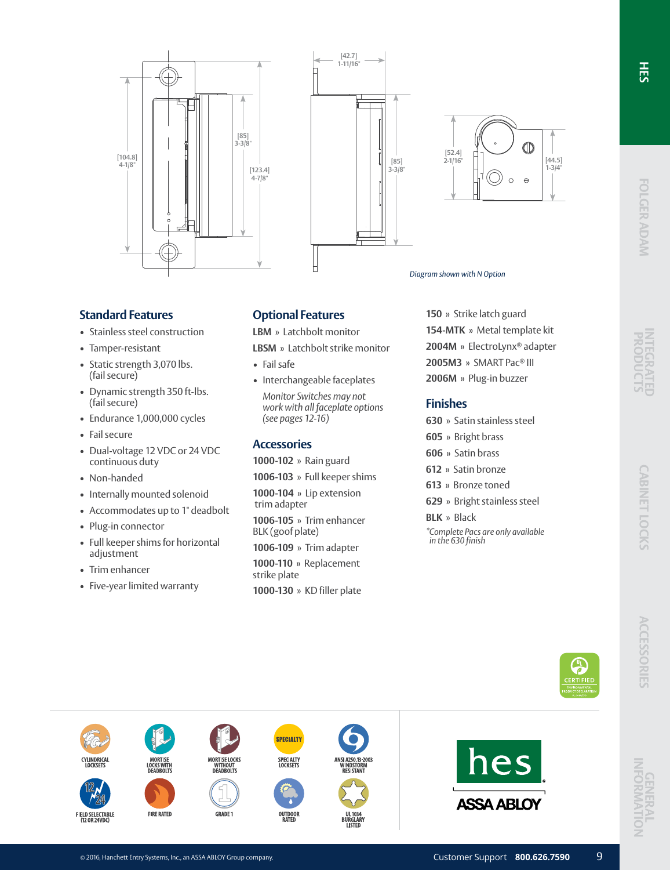**ERTIFIE** 







*Diagram shown with N Option*

#### **Standard Features**

- Stainless steel construction
- Tamper-resistant
- Static strength 3,070 lbs. (fail secure)
- Dynamic strength 350 ft-lbs. (fail secure)
- Endurance 1,000,000 cycles
- Fail secure
- Dual-voltage 12 VDC or 24 VDC continuous duty
- Non-handed
- Internally mounted solenoid
- Accommodates up to 1" deadbolt
- Plug-in connector
- Full keeper shims for horizontal adjustment
- Trim enhancer

**CYLINDRICAL** 

FIELD SELECTABLE<br>(12 OR 24VDC)

• Five-year limited warranty

#### **Optional Features**

**LBM** » Latchbolt monitor

**LBSM** » Latchbolt strike monitor

- Fail safe
- Interchangeable faceplates *Monitor Switches may not work with all faceplate options (see pages 12-16)*

#### **Accessories**

**1000-102** » Rain guard

**1006-103** » Full keeper shims

**1000-104** » Lip extension trim adapter

**1006-105** » Trim enhancer BLK (goof plate)

**1006-109** » Trim adapter **1000-110** » Replacement strike plate **1000-130** » KD filler plate

**SPECIALTY** 

SPECIALTY<br>LOCKSETS

OUTDOOR<br>RATED

I ISTFI

**150** » Strike latch guard **154-MTK** » Metal template kit **2004M** » ElectroLynx® adapter **2005M3** » SMART Pac® III **2006M** » Plug-in buzzer

### **Finishes**

- **630** » Satin stainless steel
- **605** » Bright brass
- **606** » Satin brass
- **612** » Satin bronze
- **613** » Bronze toned
- **629** » Bright stainless steel
- **BLK** » Black

*\*Complete Pacs are only available in the 630 finish*

**FIRE RATED** 

**MORTISE LOCKS**<br>WITHOUT<br>DEADBOLTS

**GRADE 1** 

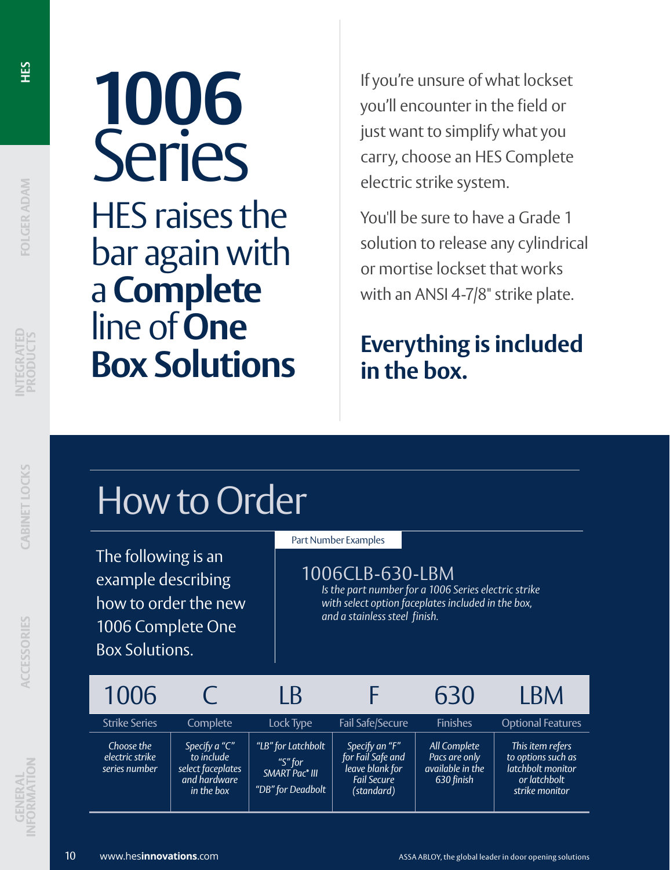**OLGER ADAM** 

# **1006** Series HES raises the bar again with

a **Complete**

**Box Solutions**

line of **One** 

If you're unsure of what lockset you'll encounter in the field or just want to simplify what you carry, choose an HES Complete electric strike system.

You'll be sure to have a Grade 1 solution to release any cylindrical or mortise lockset that works with an ANSI 4-7/8" strike plate.

## **Everything is included in the box.**

# How to Order

The following is an example describing how to order the new 1006 Complete One Box Solutions.

#### Part Number Examples

## 1006CLB-630-LBM

*Is the part number for a 1006 Series electric strike with select option faceplates included in the box, and a stainless steel finish.*

| 1006                                           |                                                                                | $\mathsf B$                                                                      |                                                                                            | 630                                                             | <b>BM</b>                                                                                     |
|------------------------------------------------|--------------------------------------------------------------------------------|----------------------------------------------------------------------------------|--------------------------------------------------------------------------------------------|-----------------------------------------------------------------|-----------------------------------------------------------------------------------------------|
| <b>Strike Series</b>                           | Complete                                                                       | Lock Type                                                                        | <b>Fail Safe/Secure</b>                                                                    | <b>Finishes</b>                                                 | <b>Optional Features</b>                                                                      |
| Choose the<br>electric strike<br>series number | Specify a "C"<br>to include<br>select faceplates<br>and hardware<br>in the box | "LB" for Latchbolt<br>"S" for<br>SMART Pac <sup>®</sup> III<br>"DB" for Deadbolt | Specify an "F"<br>for Fail Safe and<br>leave blank for<br><b>Fail Secure</b><br>(standard) | All Complete<br>Pacs are only<br>available in the<br>630 finish | This item refers<br>to options such as<br>latchbolt monitor<br>or latchbolt<br>strike monitor |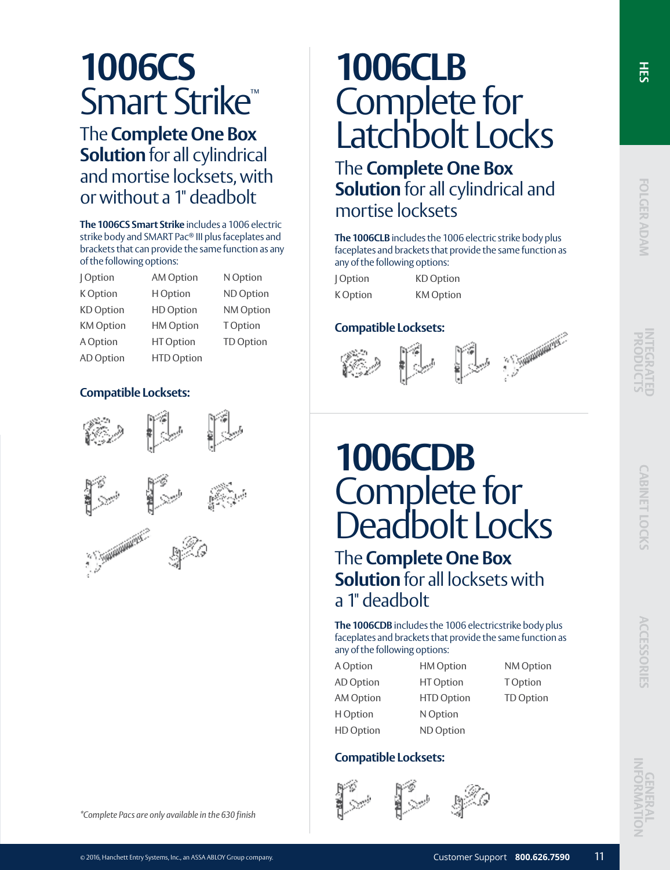## **1006CS** Smart Strike™

The **Complete One Box Solution** for all cylindrical and mortise locksets, with or without a 1" deadbolt

**The 1006CS Smart Strike** includes a 1006 electric strike body and SMART Pac® III plus faceplates and brackets that can provide the same function as any of the following options:

| Option           | <b>AM Option</b>  | N Option         |
|------------------|-------------------|------------------|
| K Option         | H Option          | ND Option        |
| <b>KD</b> Option | <b>HD Option</b>  | NM Option        |
| <b>KM</b> Option | <b>HM Option</b>  | <b>TOption</b>   |
| A Option         | HT Option         | <b>TD Option</b> |
| AD Option        | <b>HTD Option</b> |                  |

### **Compatible Locksets:**



## **1006CLB** Complete for Latchbolt Locks

The **Complete One Box Solution** for all cylindrical and mortise locksets

**The 1006CLB** includes the 1006 electric strike body plus faceplates and brackets that provide the same function as any of the following options:

| Option   | <b>KD</b> Option |
|----------|------------------|
| K Option | <b>KM</b> Option |

### **Compatible Locksets:**





## **1006CDB** Complete for Deadbolt Locks

The **Complete One Box Solution** for all locksets with a 1" deadbolt

**The 1006CDB** includes the 1006 electricstrike body plus faceplates and brackets that provide the same function as any of the following options:

> HM Option HT Option HTD Option

| A Option         |  |
|------------------|--|
| AD Option        |  |
| AM Option        |  |
| H Option         |  |
| <b>HD</b> Option |  |

NM Option T Option TD Option

N Option ND Option

## **Compatible Locksets:**



 $\frac{1}{5}$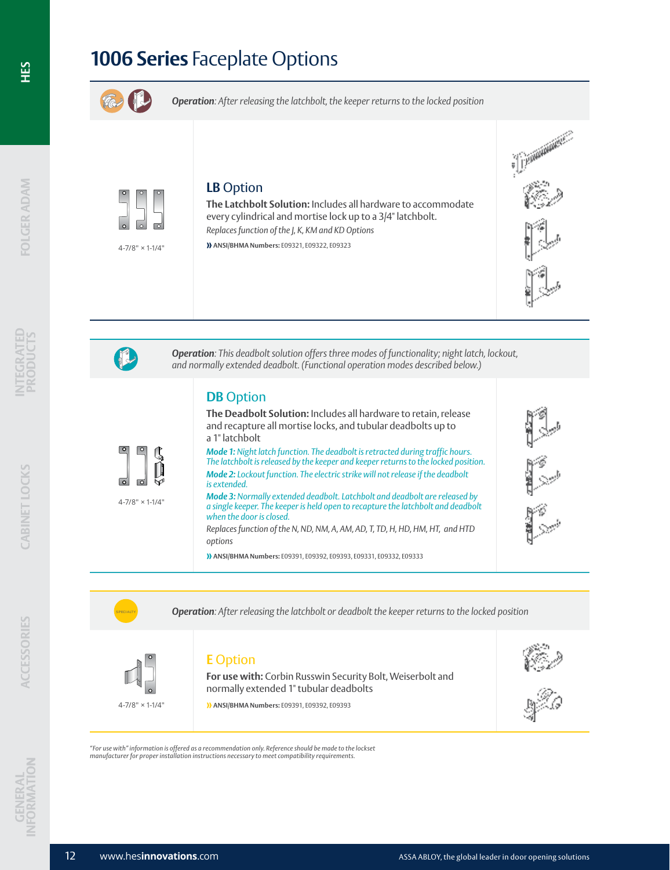



**Operation**: After releasing the latchbolt or deadbolt the keeper returns to the locked position



### **E** Option

*"For use with" information is offered as a recommendation only. Reference should be made to the lockset manufacturer for proper installation instructions necessary to meet compatibility requirements.* 

**For use with:** Corbin Russwin Security Bolt, Weiserbolt and normally extended 1" tubular deadbolts

**» ANSI/BHMA Numbers:** E09391, E09392, E09393



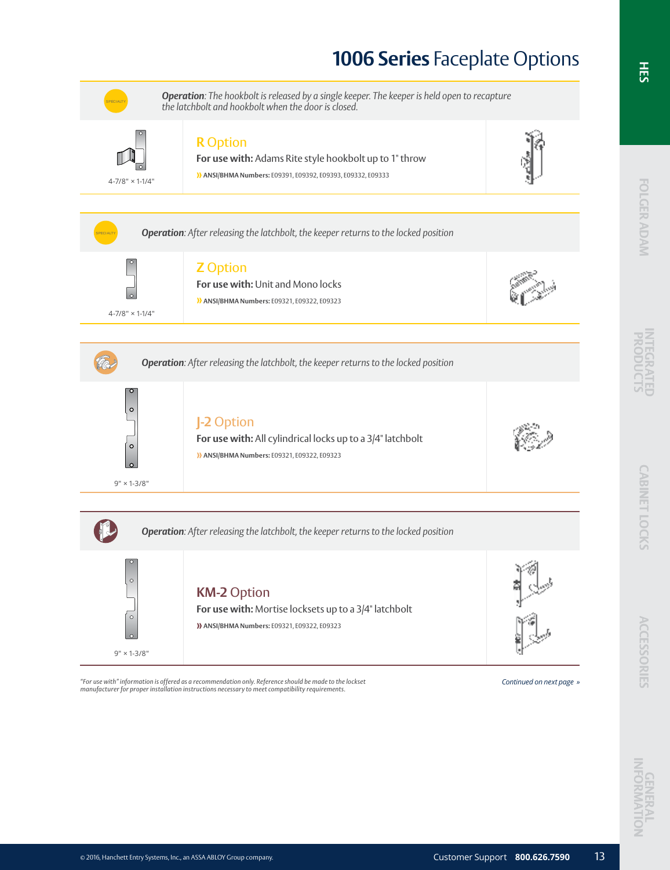

"For use with" information is offered as a recommendation only. Reference should be made to the lockset readly<br>manufacturer for proper installation instructions necessary to meet compatibility requirements.

FOLGER ADAM

**INTEGRATED** 

**CABINET LOCKS**

**CABINET LOCKS** 

 **ACCESSORIES**

**ACCESSORIES**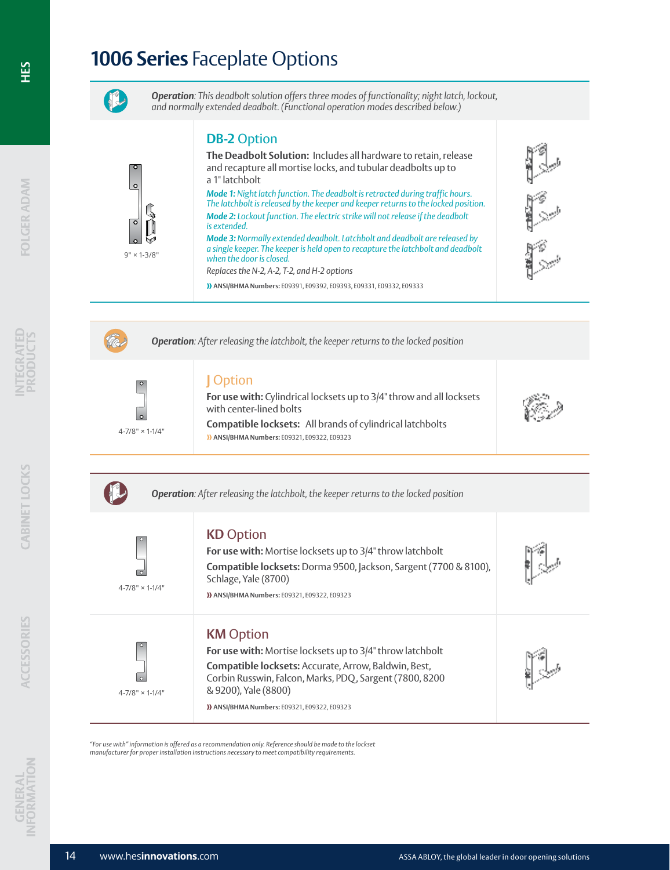

*Operation: This deadbolt solution offers three modes of functionality; night latch, lockout, and normally extended deadbolt. (Functional operation modes described below.)*

## **DB-2** Option

**The Deadbolt Solution:** Includes all hardware to retain, release and recapture all mortise locks, and tubular deadbolts up to a 1" latchbolt *Mode 1: Night latch function. The deadbolt is retracted during traffic hours. The latchbolt is released by the keeper and keeper returns to the locked position.* 

*Mode 2: Lockout function. The electric strike will not release if the deadbolt is extended. Mode 3: Normally extended deadbolt. Latchbolt and deadbolt are released by* 

*a single keeper. The keeper is held open to recapture the latchbolt and deadbolt when the door is closed.*

**For use with:** Cylindrical locksets up to 3/4" throw and all locksets

**Compatible locksets:** All brands of cylindrical latchbolts

**For use with:** Mortise locksets up to 3/4" throw latchbolt

**For use with:** Mortise locksets up to 3/4" throw latchbolt **Compatible locksets:** Accurate, Arrow, Baldwin, Best, Corbin Russwin, Falcon, Marks, PDQ, Sargent (7800, 8200

**Compatible locksets:** Dorma 9500, Jackson, Sargent (7700 & 8100),

*Replaces the N-2, A-2, T-2, and H-2 options*

**» ANSI/BHMA Numbers:** E09391, E09392, E09393, E09331, E09332, E09333





 $9" \times 1 - 3/8"$ 

*Operation: After releasing the latchbolt, the keeper returns to the locked position*

*Operation: After releasing the latchbolt, the keeper returns to the locked position*

### **J** Option

**KD** Option

Schlage, Yale (8700)

**KM** Option

& 9200), Yale (8800)

*"For use with" information is offered as a recommendation only. Reference should be made to the lockset manufacturer for proper installation instructions necessary to meet compatibility requirements.* 

with center-lined bolts

**» ANSI/BHMA Numbers:** E09321, E09322, E09323

**» ANSI/BHMA Numbers:** E09321, E09322, E09323

**» ANSI/BHMA Numbers:** E09321, E09322, E09323

4-7/8" × 1-1/4"

4-7/8" × 1-1/4"

4-7/8" × 1-1/4"



FOLGER ADAM

**Salt** 

14 www.hes**innovations**.com **ASSA ABLOY, the global leader in door opening solutions**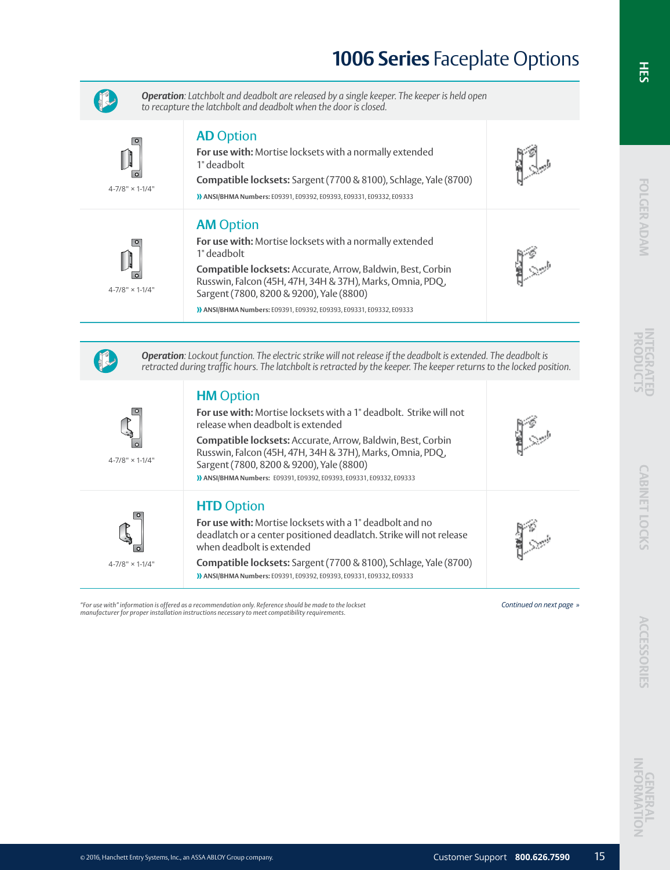

*Operation: Latchbolt and deadbolt are released by a single keeper. The keeper is held open to recapture the latchbolt and deadbolt when the door is closed.*

**For use with:** Mortise locksets with a normally extended



4-7/8" × 1-1/4"

## 1" deadbolt **Compatible locksets:** Sargent (7700 & 8100), Schlage, Yale (8700) **» ANSI/BHMA Numbers:** E09391, E09392, E09393, E09331, E09332, E09333

## **AM** Option

**AD** Option

4-7/8" × 1-1/4"

∣о

4-7/8" × 1-1/4"

4-7/8" × 1-1/4"

| <b>AIVI</b> UPLIUII                                                                                                                                                         |
|-----------------------------------------------------------------------------------------------------------------------------------------------------------------------------|
| For use with: Mortise locksets with a normally extended<br>1" deadbolt                                                                                                      |
| <b>Compatible locksets:</b> Accurate, Arrow, Baldwin, Best, Corbin<br>Russwin, Falcon (45H, 47H, 34H & 37H), Marks, Omnia, PDQ,<br>Sargent (7800, 8200 & 9200), Yale (8800) |
|                                                                                                                                                                             |

**» ANSI/BHMA Numbers:** E09391, E09392, E09393, E09331, E09332, E09333



#### *Operation: Lockout function. The electric strike will not release if the deadbolt is extended. The deadbolt is retracted during traffic hours. The latchbolt is retracted by the keeper. The keeper returns to the locked position.*

## **HM** Option

| <b>For use with:</b> Mortise locksets with a 1" deadbolt. Strike will not<br>release when deadbolt is extended                                                                                                                            |  |
|-------------------------------------------------------------------------------------------------------------------------------------------------------------------------------------------------------------------------------------------|--|
| Compatible locksets: Accurate, Arrow, Baldwin, Best, Corbin<br>Russwin, Falcon (45H, 47H, 34H & 37H), Marks, Omnia, PDQ,<br>Sargent (7800, 8200 & 9200), Yale (8800)<br>>>>>>>>>>>>>>>>>>>>>>>>+, E09392, E09393, E093331, E09332, E09333 |  |
| <b>HTD Option</b><br>For use with: Mortise locksets with a 1" deadbolt and no<br>deadlatch or a center positioned deadlatch. Strike will not release<br>when deadbolt is extended                                                         |  |

**Compatible locksets:** Sargent (7700 & 8100), Schlage, Yale (8700) **» ANSI/BHMA Numbers:** E09391, E09392, E09393, E09331, E09332, E09333

"For use with" information is offered as a recommendation only. Reference should be made to the lockset readly<br>manufacturer for proper installation instructions necessary to meet compatibility requirements.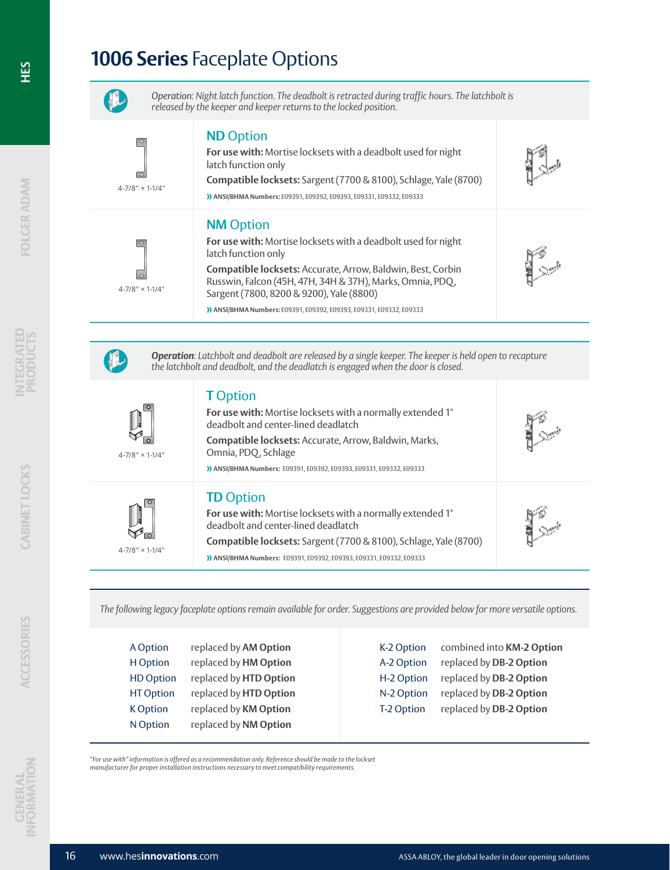

*Operation: Night latch function. The deadbolt is retracted during traffic hours. The latchbolt is released by the keeper and keeper returns to the locked position.* 

| $\circ$<br>ा<br>$4 - 7/8" \times 1 - 1/4"$ | <b>ND</b> Option<br>For use with: Mortise locksets with a deadbolt used for night<br>latch function only<br>Compatible locksets: Sargent (7700 & 8100), Schlage, Yale (8700)<br>>>>>>>>>>>>>>>>>>>>>>>>>,E09392,E09393,E09331,E09332,E09333                                      |  |
|--------------------------------------------|----------------------------------------------------------------------------------------------------------------------------------------------------------------------------------------------------------------------------------------------------------------------------------|--|
| $\circ$<br>$4 - 7/8" \times 1 - 1/4"$      | <b>NM</b> Option<br>For use with: Mortise locksets with a deadbolt used for night<br>latch function only<br>Compatible locksets: Accurate, Arrow, Baldwin, Best, Corbin<br>Russwin, Falcon (45H, 47H, 34H & 37H), Marks, Omnia, PDQ,<br>Sargent (7800, 8200 & 9200), Yale (8800) |  |

**» ANSI/BHMA Numbers:** E09391, E09392, E09393, E09331, E09332, E09333



 $4 - 7/8$ 

 $4 - 7/8$ 

 $\breve{a}$ 

*Operation: Latchbolt and deadbolt are released by a single keeper. The keeper is held open to recapture the latchbolt and deadbolt, and the deadlatch is engaged when the door is closed.*

| <b>T</b> Option |  |
|-----------------|--|
|                 |  |

| $78" \times 1-1/4"$ | For use with: Mortise locksets with a normally extended 1"<br>deadbolt and center-lined deadlatch<br>Compatible locksets: Accurate, Arrow, Baldwin, Marks,<br>Omnia, PDQ, Schlage<br>>>>>>> ANSI/BHMA Numbers: E09391, E09392, E09393, E09331, E09332, E09333        |  |
|---------------------|----------------------------------------------------------------------------------------------------------------------------------------------------------------------------------------------------------------------------------------------------------------------|--|
| $78" \times 1-1/4"$ | <b>TD</b> Option<br>For use with: Mortise locksets with a normally extended 1"<br>deadbolt and center-lined deadlatch<br>Compatible locksets: Sargent (7700 & 8100), Schlage, Yale (8700)<br>>>>>> ANSI/BHMA Numbers: E09391, E09392, E09393, E09331, E09332, E09333 |  |

*The following legacy faceplate options remain available for order. Suggestions are provided below for more versatile options.* 

| A Option         | replaced by AM Option  |
|------------------|------------------------|
| H Option         | replaced by HM Option  |
| <b>HD Option</b> | replaced by HTD Option |
| <b>HT Option</b> | replaced by HTD Option |
| <b>K</b> Option  | replaced by KM Option  |
| N Option         | replaced by NM Option  |
|                  |                        |

| K-2 Option | combined into KM-2 Option |
|------------|---------------------------|
| A-2 Option | replaced by DB-2 Option   |
| H-2 Option | replaced by DB-2 Option   |
| N-2 Option | replaced by DB-2 Option   |
| T-2 Option | replaced by DB-2 Option   |

*"For use with" information is offered as a recommendation only. Reference should be made to the lockset manufacturer for proper installation instructions necessary to meet compatibility requirements.*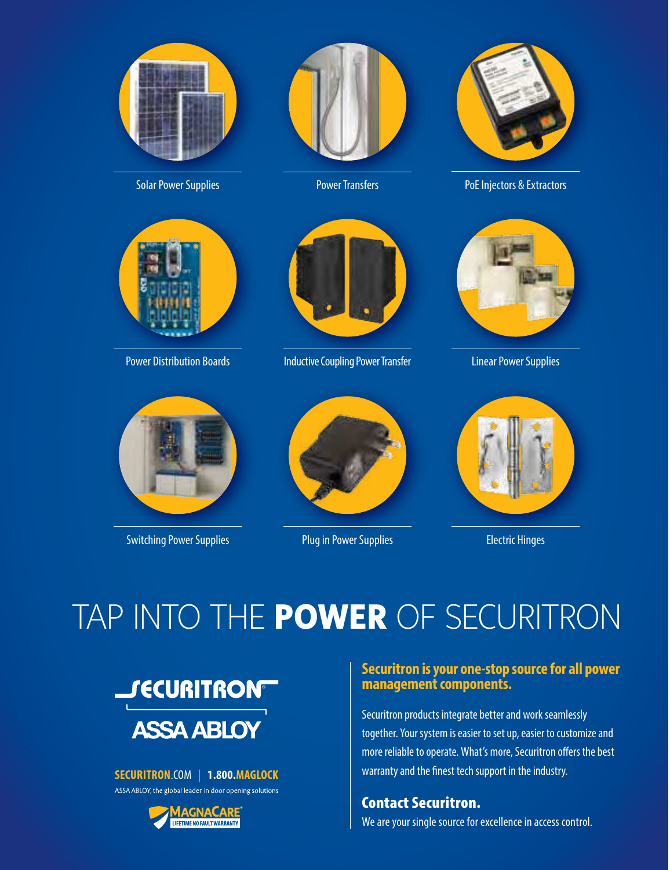

Solar Power Supplies



Power Distribution Boards



Power Transfers



Inductive Coupling Power Transfer



PoE Injectors & Extractors



Linear Power Supplies



Switching Power Supplies



Plug in Power Supplies



Electric Hinges

## TAP INTO THE **POWER** OF SECURITRON



## **SECURITRON**.COM | **1.800.MAGLOCK**

ASSA ABLOY, the global leader in door opening solutions



## **Securitron is your one-stop source for all power management components.**

Securitron products integrate better and work seamlessly together. Your system is easier to set up, easier to customize and more reliable to operate. What's more, Securitron offers the best warranty and the finest tech support in the industry.

Contact Securitron. We are your single source for excellence in access control.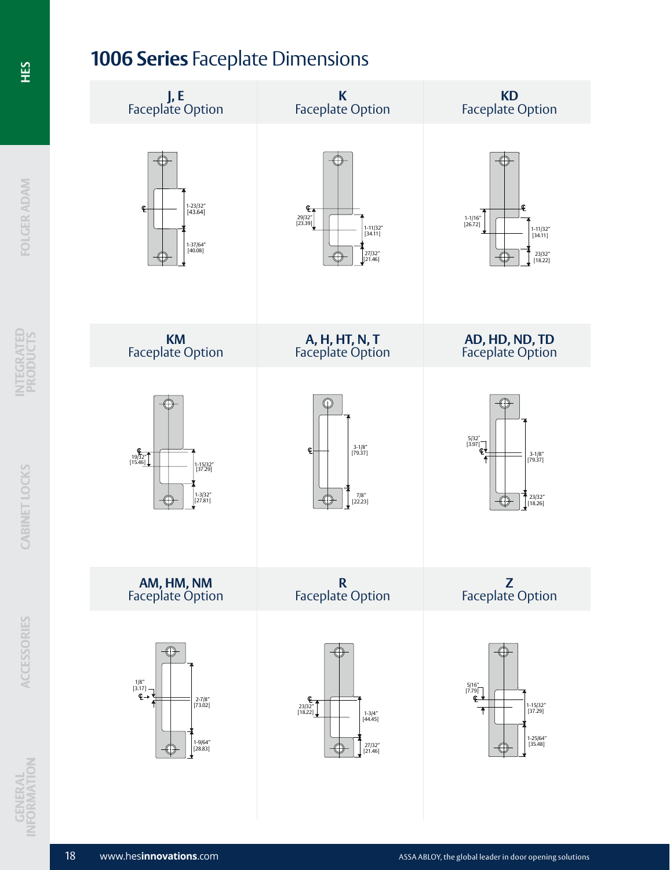## **1006 Series** Faceplate Dimensions



**INTEGRATED PRODUCTS**